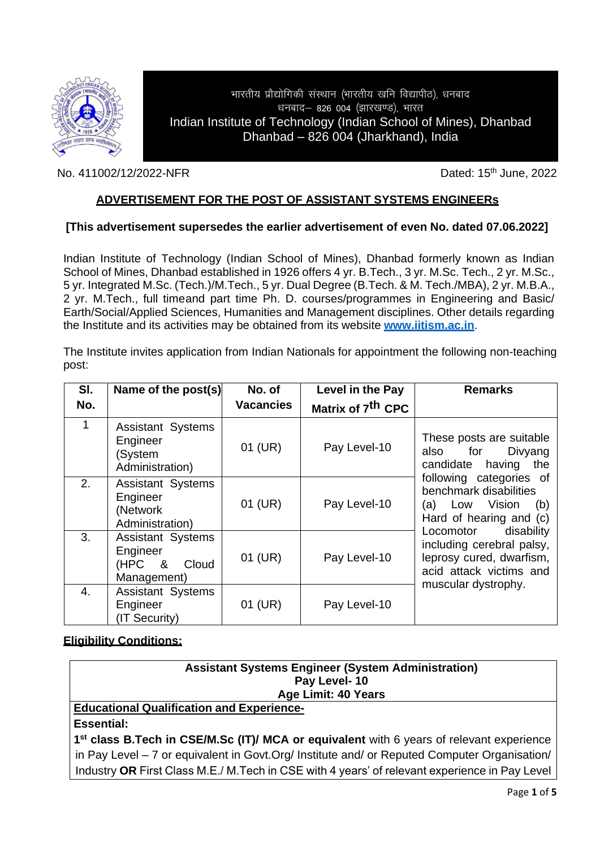

## भारतीय प्रौद्योगिकी संस्थान (भारतीय खनि विद्यापीठ), धनबाद धनबाद- 826 004 (झारखण्ड), भारत Indian Institute of Technology (Indian School of Mines), Dhanbad Dhanbad – 826 004 (Jharkhand), India

No. 411002/12/2022-NFR Dated: 15<sup>th</sup> June, 2022

## **ADVERTISEMENT FOR THE POST OF ASSISTANT SYSTEMS ENGINEERs**

### **[This advertisement supersedes the earlier advertisement of even No. dated 07.06.2022]**

Indian Institute of Technology (Indian School of Mines), Dhanbad formerly known as Indian School of Mines, Dhanbad established in 1926 offers 4 yr. B.Tech., 3 yr. M.Sc. Tech., 2 yr. M.Sc., 5 yr. Integrated M.Sc. (Tech.)/M.Tech., 5 yr. Dual Degree (B.Tech. & M. Tech./MBA), 2 yr. M.B.A., 2 yr. M.Tech., full timeand part time Ph. D. courses/programmes in Engineering and Basic/ Earth/Social/Applied Sciences, Humanities and Management disciplines. Other details regarding the Institute and its activities may be obtained from its website **[www.iitism.ac.in](http://www.iitism.ac.in/)**.

The Institute invites application from Indian Nationals for appointment the following non-teaching post:

| SI. | Name of the post(s)                                                       | No. of           | Level in the Pay              | <b>Remarks</b>                                                                                                                                                                                                                                                                                                            |
|-----|---------------------------------------------------------------------------|------------------|-------------------------------|---------------------------------------------------------------------------------------------------------------------------------------------------------------------------------------------------------------------------------------------------------------------------------------------------------------------------|
| No. |                                                                           | <b>Vacancies</b> | Matrix of 7 <sup>th</sup> CPC |                                                                                                                                                                                                                                                                                                                           |
| 1   | <b>Assistant Systems</b><br>Engineer<br>(System<br>Administration)        | 01 (UR)          | Pay Level-10                  | These posts are suitable<br>also for<br>Divyang<br>candidate having<br>the<br>following categories of<br>benchmark disabilities<br>(a) Low Vision<br>(b)<br>Hard of hearing and (c)<br>Locomotor<br>disability<br>including cerebral palsy,<br>leprosy cured, dwarfism,<br>acid attack victims and<br>muscular dystrophy. |
| 2.  | <b>Assistant Systems</b><br>Engineer<br>(Network<br>Administration)       | 01 (UR)          | Pay Level-10                  |                                                                                                                                                                                                                                                                                                                           |
| 3.  | <b>Assistant Systems</b><br>Engineer<br>(HPC<br>8<br>Cloud<br>Management) | 01 (UR)          | Pay Level-10                  |                                                                                                                                                                                                                                                                                                                           |
| 4.  | <b>Assistant Systems</b><br>Engineer<br>(IT Security)                     | 01 (UR)          | Pay Level-10                  |                                                                                                                                                                                                                                                                                                                           |

#### **Eligibility Conditions:**

| <b>Assistant Systems Engineer (System Administration)</b>                                              |  |  |  |  |
|--------------------------------------------------------------------------------------------------------|--|--|--|--|
| Pay Level-10                                                                                           |  |  |  |  |
| Age Limit: 40 Years                                                                                    |  |  |  |  |
| <b>Educational Qualification and Experience-</b>                                                       |  |  |  |  |
| <b>Essential:</b>                                                                                      |  |  |  |  |
| 1 <sup>st</sup> class B. Tech in CSE/M. Sc (IT)/ MCA or equivalent with 6 years of relevant experience |  |  |  |  |
| in Pay Level – 7 or equivalent in Govt.Org/ Institute and/ or Reputed Computer Organisation/           |  |  |  |  |
| Industry OR First Class M.E./ M. Tech in CSE with 4 years' of relevant experience in Pay Level         |  |  |  |  |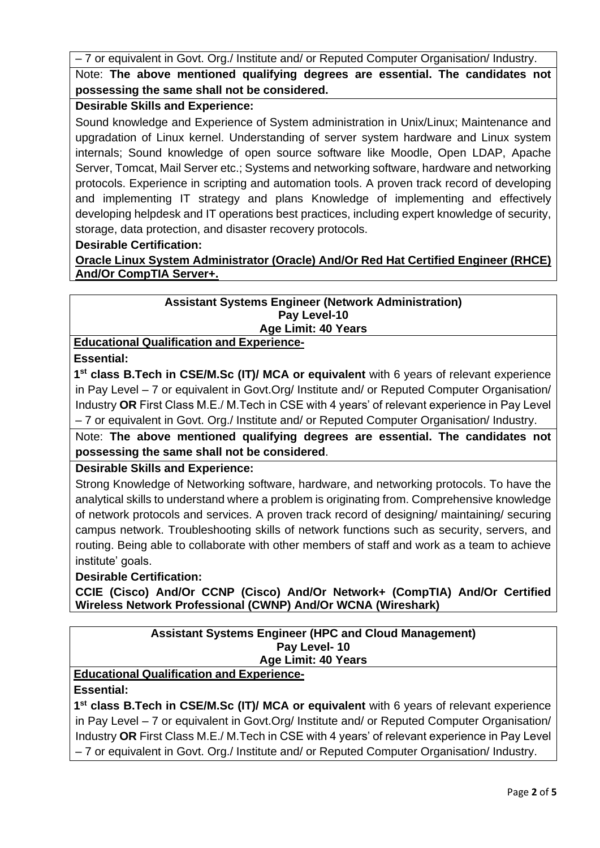– 7 or equivalent in Govt. Org./ Institute and/ or Reputed Computer Organisation/ Industry. Note: **The above mentioned qualifying degrees are essential. The candidates not possessing the same shall not be considered.**

# **Desirable Skills and Experience:**

Sound knowledge and Experience of System administration in Unix/Linux; Maintenance and upgradation of Linux kernel. Understanding of server system hardware and Linux system internals; Sound knowledge of open source software like Moodle, Open LDAP, Apache Server, Tomcat, Mail Server etc.; Systems and networking software, hardware and networking protocols. Experience in scripting and automation tools. A proven track record of developing and implementing IT strategy and plans Knowledge of implementing and effectively developing helpdesk and IT operations best practices, including expert knowledge of security, storage, data protection, and disaster recovery protocols.

### **Desirable Certification:**

**Oracle Linux System Administrator (Oracle) And/Or Red Hat Certified Engineer (RHCE) And/Or CompTIA Server+.**

#### **Assistant Systems Engineer (Network Administration) Pay Level-10 Age Limit: 40 Years**

**Educational Qualification and Experience-**

**Essential:** 

**1 st class B.Tech in CSE/M.Sc (IT)/ MCA or equivalent** with 6 years of relevant experience in Pay Level – 7 or equivalent in Govt.Org/ Institute and/ or Reputed Computer Organisation/ Industry **OR** First Class M.E./ M.Tech in CSE with 4 years' of relevant experience in Pay Level – 7 or equivalent in Govt. Org./ Institute and/ or Reputed Computer Organisation/ Industry.

Note: **The above mentioned qualifying degrees are essential. The candidates not possessing the same shall not be considered**.

# **Desirable Skills and Experience:**

Strong Knowledge of Networking software, hardware, and networking protocols. To have the analytical skills to understand where a problem is originating from. Comprehensive knowledge of network protocols and services. A proven track record of designing/ maintaining/ securing campus network. Troubleshooting skills of network functions such as security, servers, and routing. Being able to collaborate with other members of staff and work as a team to achieve institute' goals.

# **Desirable Certification:**

**CCIE (Cisco) And/Or CCNP (Cisco) And/Or Network+ (CompTIA) And/Or Certified Wireless Network Professional (CWNP) And/Or WCNA (Wireshark)**

### **Assistant Systems Engineer (HPC and Cloud Management) Pay Level- 10 Age Limit: 40 Years**

**Educational Qualification and Experience-**

# **Essential:**

1<sup>st</sup> class B.Tech in CSE/M.Sc (IT)/ MCA or equivalent with 6 years of relevant experience in Pay Level – 7 or equivalent in Govt.Org/ Institute and/ or Reputed Computer Organisation/ Industry **OR** First Class M.E./ M.Tech in CSE with 4 years' of relevant experience in Pay Level – 7 or equivalent in Govt. Org./ Institute and/ or Reputed Computer Organisation/ Industry.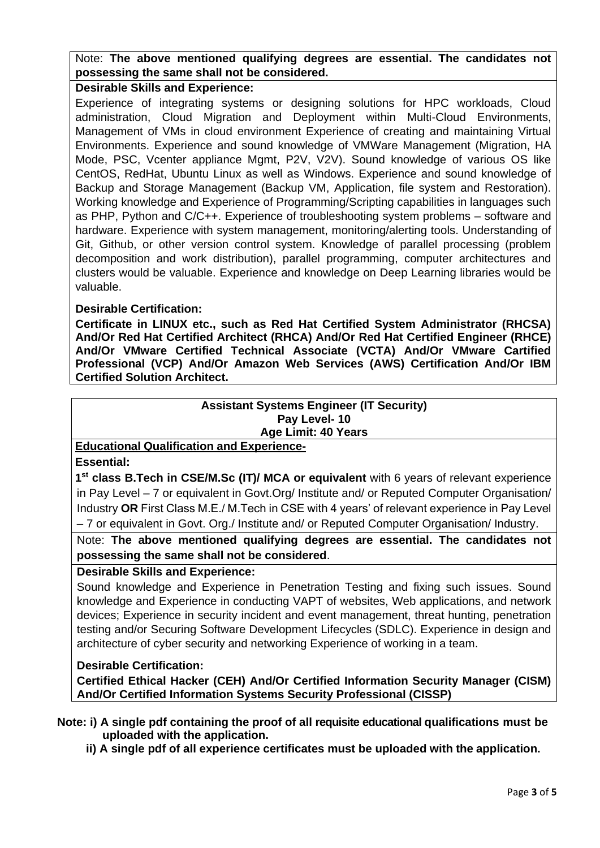Note: **The above mentioned qualifying degrees are essential. The candidates not possessing the same shall not be considered.**

### **Desirable Skills and Experience:**

Experience of integrating systems or designing solutions for HPC workloads, Cloud administration, Cloud Migration and Deployment within Multi-Cloud Environments, Management of VMs in cloud environment Experience of creating and maintaining Virtual Environments. Experience and sound knowledge of VMWare Management (Migration, HA Mode, PSC, Vcenter appliance Mgmt, P2V, V2V). Sound knowledge of various OS like CentOS, RedHat, Ubuntu Linux as well as Windows. Experience and sound knowledge of Backup and Storage Management (Backup VM, Application, file system and Restoration). Working knowledge and Experience of Programming/Scripting capabilities in languages such as PHP, Python and C/C++. Experience of troubleshooting system problems – software and hardware. Experience with system management, monitoring/alerting tools. Understanding of Git, Github, or other version control system. Knowledge of parallel processing (problem decomposition and work distribution), parallel programming, computer architectures and clusters would be valuable. Experience and knowledge on Deep Learning libraries would be valuable.

### **Desirable Certification:**

**Certificate in LINUX etc., such as Red Hat Certified System Administrator (RHCSA) And/Or Red Hat Certified Architect (RHCA) And/Or Red Hat Certified Engineer (RHCE) And/Or VMware Certified Technical Associate (VCTA) And/Or VMware Cartified Professional (VCP) And/Or Amazon Web Services (AWS) Certification And/Or IBM Certified Solution Architect.**

#### **Assistant Systems Engineer (IT Security) Pay Level- 10 Age Limit: 40 Years**

### **Educational Qualification and Experience-**

**Essential:** 

1<sup>st</sup> class B.Tech in CSE/M.Sc (IT)/ MCA or equivalent with 6 years of relevant experience in Pay Level – 7 or equivalent in Govt.Org/ Institute and/ or Reputed Computer Organisation/ Industry **OR** First Class M.E./ M.Tech in CSE with 4 years' of relevant experience in Pay Level – 7 or equivalent in Govt. Org./ Institute and/ or Reputed Computer Organisation/ Industry.

## Note: **The above mentioned qualifying degrees are essential. The candidates not possessing the same shall not be considered**.

### **Desirable Skills and Experience:**

Sound knowledge and Experience in Penetration Testing and fixing such issues. Sound knowledge and Experience in conducting VAPT of websites, Web applications, and network devices; Experience in security incident and event management, threat hunting, penetration testing and/or Securing Software Development Lifecycles (SDLC). Experience in design and architecture of cyber security and networking Experience of working in a team.

### **Desirable Certification:**

**Certified Ethical Hacker (CEH) And/Or Certified Information Security Manager (CISM) And/Or Certified Information Systems Security Professional (CISSP)**

**Note: i) A single pdf containing the proof of all requisite educational qualifications must be uploaded with the application.**

 **ii) A single pdf of all experience certificates must be uploaded with the application.**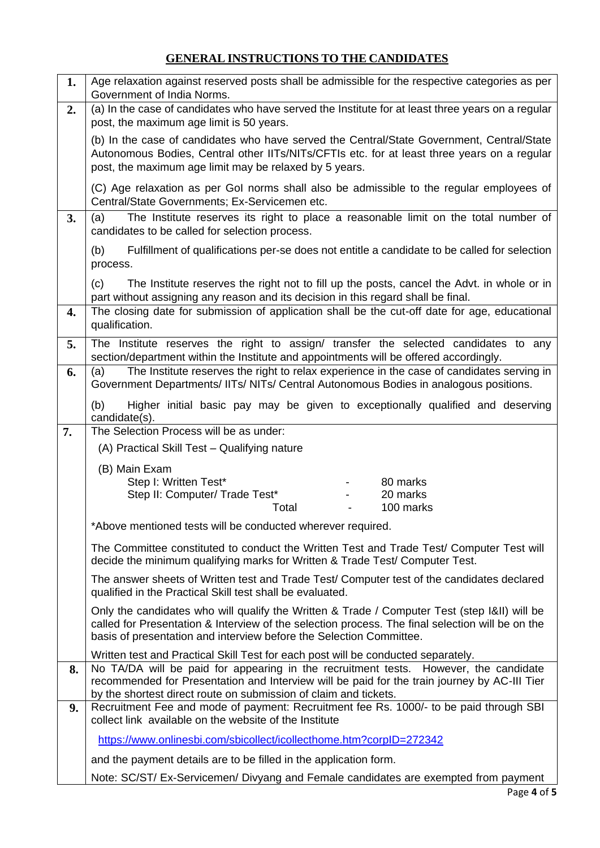# **GENERAL INSTRUCTIONS TO THE CANDIDATES**

| 1. | Age relaxation against reserved posts shall be admissible for the respective categories as per<br>Government of India Norms.                                                                                                                                                                   |  |  |  |  |
|----|------------------------------------------------------------------------------------------------------------------------------------------------------------------------------------------------------------------------------------------------------------------------------------------------|--|--|--|--|
| 2. | (a) In the case of candidates who have served the Institute for at least three years on a regular                                                                                                                                                                                              |  |  |  |  |
|    | post, the maximum age limit is 50 years.<br>(b) In the case of candidates who have served the Central/State Government, Central/State<br>Autonomous Bodies, Central other IITs/NITs/CFTIs etc. for at least three years on a regular<br>post, the maximum age limit may be relaxed by 5 years. |  |  |  |  |
|    | (C) Age relaxation as per Gol norms shall also be admissible to the regular employees of<br>Central/State Governments; Ex-Servicemen etc.                                                                                                                                                      |  |  |  |  |
| 3. | The Institute reserves its right to place a reasonable limit on the total number of<br>(a)<br>candidates to be called for selection process.                                                                                                                                                   |  |  |  |  |
|    | Fulfillment of qualifications per-se does not entitle a candidate to be called for selection<br>(b)<br>process.                                                                                                                                                                                |  |  |  |  |
|    | The Institute reserves the right not to fill up the posts, cancel the Advt. in whole or in<br>(c)<br>part without assigning any reason and its decision in this regard shall be final.                                                                                                         |  |  |  |  |
| 4. | The closing date for submission of application shall be the cut-off date for age, educational<br>qualification.                                                                                                                                                                                |  |  |  |  |
| 5. | The Institute reserves the right to assign/ transfer the selected candidates to any<br>section/department within the Institute and appointments will be offered accordingly.                                                                                                                   |  |  |  |  |
| 6. | The Institute reserves the right to relax experience in the case of candidates serving in<br>(a)<br>Government Departments/ IITs/ NITs/ Central Autonomous Bodies in analogous positions.                                                                                                      |  |  |  |  |
|    | Higher initial basic pay may be given to exceptionally qualified and deserving<br>(b)<br>candidate(s).                                                                                                                                                                                         |  |  |  |  |
| 7. | The Selection Process will be as under:                                                                                                                                                                                                                                                        |  |  |  |  |
|    | (A) Practical Skill Test - Qualifying nature                                                                                                                                                                                                                                                   |  |  |  |  |
|    | (B) Main Exam<br>Step I: Written Test*<br>80 marks<br>Step II: Computer/ Trade Test*<br>20 marks<br>Total<br>100 marks                                                                                                                                                                         |  |  |  |  |
|    | *Above mentioned tests will be conducted wherever required.                                                                                                                                                                                                                                    |  |  |  |  |
|    | The Committee constituted to conduct the Written Test and Trade Test/ Computer Test will<br>decide the minimum qualifying marks for Written & Trade Test/ Computer Test.                                                                                                                       |  |  |  |  |
|    | The answer sheets of Written test and Trade Test/ Computer test of the candidates declared<br>qualified in the Practical Skill test shall be evaluated.                                                                                                                                        |  |  |  |  |
|    | Only the candidates who will qualify the Written & Trade / Computer Test (step I&II) will be<br>called for Presentation & Interview of the selection process. The final selection will be on the<br>basis of presentation and interview before the Selection Committee.                        |  |  |  |  |
|    | Written test and Practical Skill Test for each post will be conducted separately.                                                                                                                                                                                                              |  |  |  |  |
| 8. | No TA/DA will be paid for appearing in the recruitment tests. However, the candidate<br>recommended for Presentation and Interview will be paid for the train journey by AC-III Tier<br>by the shortest direct route on submission of claim and tickets.                                       |  |  |  |  |
| 9. | Recruitment Fee and mode of payment: Recruitment fee Rs. 1000/- to be paid through SBI<br>collect link available on the website of the Institute                                                                                                                                               |  |  |  |  |
|    | https://www.onlinesbi.com/sbicollect/icollecthome.htm?corpID=272342                                                                                                                                                                                                                            |  |  |  |  |
|    | and the payment details are to be filled in the application form.                                                                                                                                                                                                                              |  |  |  |  |
|    | Note: SC/ST/ Ex-Servicemen/ Divyang and Female candidates are exempted from payment                                                                                                                                                                                                            |  |  |  |  |